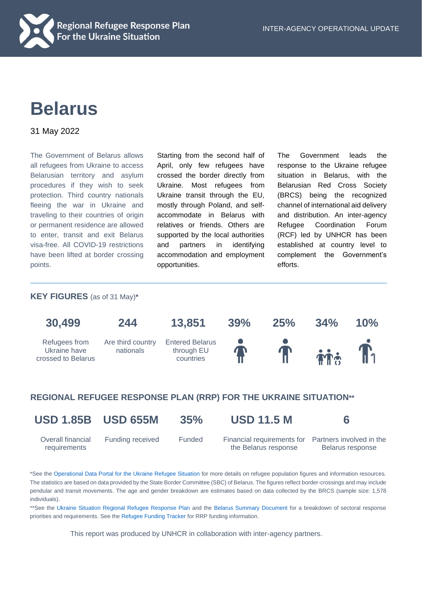

# **Belarus**

31 May 2022

The Government of Belarus allows all refugees from Ukraine to access Belarusian territory and asylum procedures if they wish to seek protection. Third country nationals fleeing the war in Ukraine and traveling to their countries of origin or permanent residence are allowed to enter, transit and exit Belarus visa-free. All COVID-19 restrictions have been lifted at border crossing points.

Starting from the second half of April, only few refugees have crossed the border directly from Ukraine. Most refugees from Ukraine transit through the EU, mostly through Poland, and selfaccommodate in Belarus with relatives or friends. Others are supported by the local authorities and partners in identifying accommodation and employment opportunities.

The Government leads the response to the Ukraine refugee situation in Belarus, with the Belarusian Red Cross Society (BRCS) being the recognized channel of international aid delivery and distribution. An inter-agency Refugee Coordination Forum (RCF) led by UNHCR has been established at country level to complement the Government's efforts.

# **KEY FIGURES** (as of 31 May)**\***



# **REGIONAL REFUGEE RESPONSE PLAN (RRP) FOR THE UKRAINE SITUATION\*\***

**USD 1.85B USD 655M 35% USD 11.5 M 6**

Overall financial requirements

 Funding received Funded Financial requirements for Partners involved in the the Belarus response

Belarus response

\*See the [Operational Data Portal for the Ukraine Refugee Situation](http://data2.unhcr.org/en/situations/ukraine) for more details on refugee population figures and information resources. The statistics are based on data provided by the State Border Committee (SBC) of Belarus. The figures reflect border-crossings and may include pendular and transit movements. The age and gender breakdown are estimates based on data collected by the BRCS (sample size: 1,578 individuals).

\*\*See the [Ukraine Situation Regional Refugee Response Plan](https://data2.unhcr.org/en/documents/details/92257) and the [Belarus Summary Document](https://drive.google.com/file/d/1cN34biireXYEDVonw1XFdbcBhZy-pe7I/view) for a breakdown of sectoral response priorities and requirements. See the [Refugee Funding Tracker](https://app.powerbi.com/view?r=eyJrIjoiZWE5MTAyYjYtNDZmYi00NGYzLWFkYjEtMzQ5MTAxZDBiZTU1IiwidCI6ImU1YzM3OTgxLTY2NjQtNDEzNC04YTBjLTY1NDNkMmFmODBiZSIsImMiOjh9) for RRP funding information.

This report was produced by UNHCR in collaboration with inter-agency partners.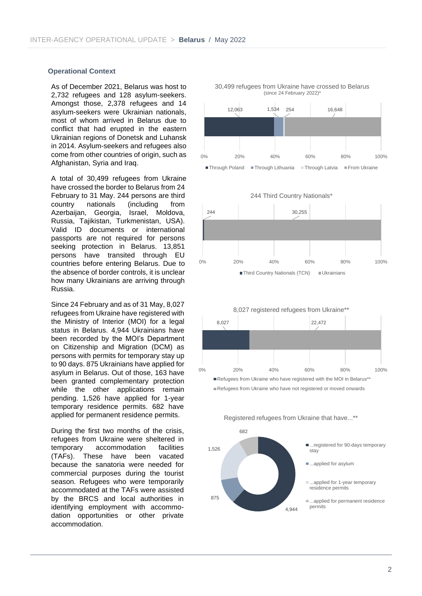# **Operational Context**

As of December 2021, Belarus was host to 2,732 refugees and 128 asylum-seekers. Amongst those, 2,378 refugees and 14 asylum-seekers were Ukrainian nationals, most of whom arrived in Belarus due to conflict that had erupted in the eastern Ukrainian regions of Donetsk and Luhansk in 2014. Asylum-seekers and refugees also come from other countries of origin, such as Afghanistan, Syria and Iraq.

A total of 30,499 refugees from Ukraine have crossed the border to Belarus from 24 February to 31 May. 244 persons are third country nationals (including from Azerbaijan, Georgia, Israel, Moldova, Russia, Tajikistan, Turkmenistan, USA). Valid ID documents or international passports are not required for persons seeking protection in Belarus. 13,851 persons have transited through EU countries before entering Belarus. Due to the absence of border controls, it is unclear how many Ukrainians are arriving through Russia.

Since 24 February and as of 31 May, 8,027 refugees from Ukraine have registered with the Ministry of Interior (MOI) for a legal status in Belarus. 4,944 Ukrainians have been recorded by the MOI's Department on Citizenship and Migration (DCM) as persons with permits for temporary stay up to 90 days. 875 Ukrainians have applied for asylum in Belarus. Out of those, 163 have been granted complementary protection while the other applications remain pending. 1,526 have applied for 1-year temporary residence permits. 682 have applied for permanent residence permits.

During the first two months of the crisis, refugees from Ukraine were sheltered in temporary accommodation facilities (TAFs). These have been vacated because the sanatoria were needed for commercial purposes during the tourist season. Refugees who were temporarily accommodated at the TAFs were assisted by the BRCS and local authorities in identifying employment with accommodation opportunities or other private accommodation.



244 30.255 0% 20% 40% 60% 80% 100% 244 Third Country Nationals\* ■ Third Country Nationals (TCN) ■ Ukrainians



4,944 875 1,526 682 ■...registered for 90-days temporary stay ■...applied for asylum ■...applied for 1-year temporary residence permits ■...applied for permanent residence permits

Registered refugees from Ukraine that have...\*\*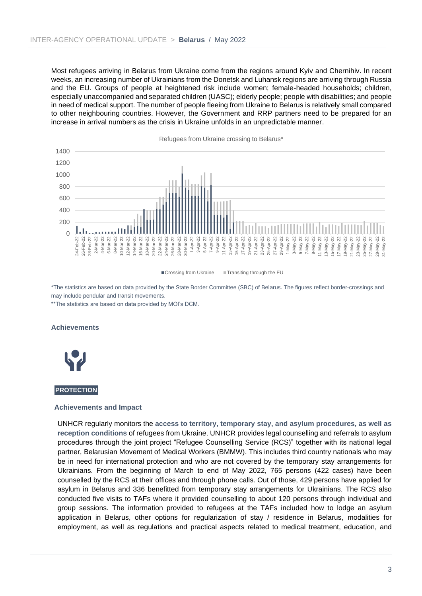Most refugees arriving in Belarus from Ukraine come from the regions around Kyiv and Chernihiv. In recent weeks, an increasing number of Ukrainians from the Donetsk and Luhansk regions are arriving through Russia and the EU. Groups of people at heightened risk include women; female-headed households; children, especially unaccompanied and separated children (UASC); elderly people; people with disabilities; and people in need of medical support. The number of people fleeing from Ukraine to Belarus is relatively small compared to other neighbouring countries. However, the Government and RRP partners need to be prepared for an increase in arrival numbers as the crisis in Ukraine unfolds in an unpredictable manner.



■ Crossing from Ukraine ■ Transiting through the EU

\*The statistics are based on data provided by the State Border Committee (SBC) of Belarus. The figures reflect border-crossings and may include pendular and transit movements.

\*\*The statistics are based on data provided by MOI's DCM.

#### **Achievements**



#### **PROTECTION**

#### **Achievements and Impact**

UNHCR regularly monitors the **access to territory, temporary stay, and asylum procedures, as well as reception conditions** of refugees from Ukraine. UNHCR provides legal counselling and referrals to asylum procedures through the joint project "Refugee Counselling Service (RCS)" together with its national legal partner, Belarusian Movement of Medical Workers (BMMW). This includes third country nationals who may be in need for international protection and who are not covered by the temporary stay arrangements for Ukrainians. From the beginning of March to end of May 2022, 765 persons (422 cases) have been counselled by the RCS at their offices and through phone calls. Out of those, 429 persons have applied for asylum in Belarus and 336 benefitted from temporary stay arrangements for Ukrainians. The RCS also conducted five visits to TAFs where it provided counselling to about 120 persons through individual and group sessions. The information provided to refugees at the TAFs included how to lodge an asylum application in Belarus, other options for regularization of stay / residence in Belarus, modalities for employment, as well as regulations and practical aspects related to medical treatment, education, and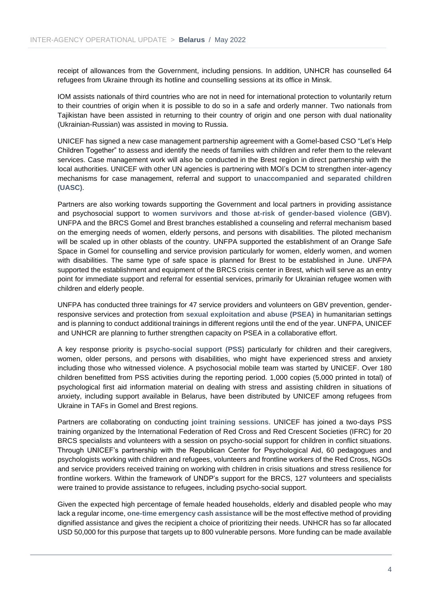receipt of allowances from the Government, including pensions. In addition, UNHCR has counselled 64 refugees from Ukraine through its hotline and counselling sessions at its office in Minsk.

IOM assists nationals of third countries who are not in need for international protection to voluntarily return to their countries of origin when it is possible to do so in a safe and orderly manner. Two nationals from Tajikistan have been assisted in returning to their country of origin and one person with dual nationality (Ukrainian-Russian) was assisted in moving to Russia.

UNICEF has signed a new case management partnership agreement with a Gomel-based CSO "Let's Help Children Together" to assess and identify the needs of families with children and refer them to the relevant services. Case management work will also be conducted in the Brest region in direct partnership with the local authorities. UNICEF with other UN agencies is partnering with MOI's DCM to strengthen inter-agency mechanisms for case management, referral and support to **unaccompanied and separated children (UASC)**.

Partners are also working towards supporting the Government and local partners in providing assistance and psychosocial support to **women survivors and those at-risk of gender-based violence (GBV)**. UNFPA and the BRCS Gomel and Brest branches established a counseling and referral mechanism based on the emerging needs of women, elderly persons, and persons with disabilities. The piloted mechanism will be scaled up in other oblasts of the country. UNFPA supported the establishment of an Orange Safe Space in Gomel for counselling and service provision particularly for women, elderly women, and women with disabilities. The same type of safe space is planned for Brest to be established in June. UNFPA supported the establishment and equipment of the BRCS crisis center in Brest, which will serve as an entry point for immediate support and referral for essential services, primarily for Ukrainian refugee women with children and elderly people.

UNFPA has conducted three trainings for 47 service providers and volunteers on GBV prevention, genderresponsive services and protection from **sexual exploitation and abuse (PSEA)** in humanitarian settings and is planning to conduct additional trainings in different regions until the end of the year. UNFPA, UNICEF and UNHCR are planning to further strengthen capacity on PSEA in a collaborative effort.

A key response priority is **psycho-social support (PSS)** particularly for children and their caregivers, women, older persons, and persons with disabilities, who might have experienced stress and anxiety including those who witnessed violence. A psychosocial mobile team was started by UNICEF. Over 180 children benefitted from PSS activities during the reporting period. 1,000 copies (5,000 printed in total) of psychological first aid information material on dealing with stress and assisting children in situations of anxiety, including support available in Belarus, have been distributed by UNICEF among refugees from Ukraine in TAFs in Gomel and Brest regions.

Partners are collaborating on conducting **joint training sessions**. UNICEF has joined a two-days PSS training organized by the International Federation of Red Cross and Red Crescent Societies (IFRC) for 20 BRCS specialists and volunteers with a session on psycho-social support for children in conflict situations. Through UNICEF's partnership with the Republican Center for Psychological Aid, 60 pedagogues and psychologists working with children and refugees, volunteers and frontline workers of the Red Cross, NGOs and service providers received training on working with children in crisis situations and stress resilience for frontline workers. Within the framework of UNDP's support for the BRCS, 127 volunteers and specialists were trained to provide assistance to refugees, including psycho-social support.

Given the expected high percentage of female headed households, elderly and disabled people who may lack a regular income, **one-time emergency cash assistance** will be the most effective method of providing dignified assistance and gives the recipient a choice of prioritizing their needs. UNHCR has so far allocated USD 50,000 for this purpose that targets up to 800 vulnerable persons. More funding can be made available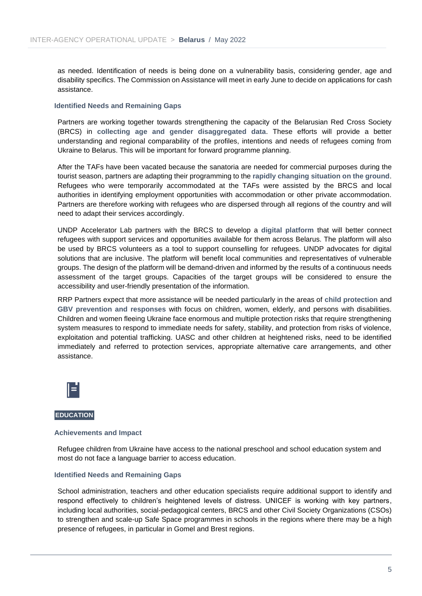as needed. Identification of needs is being done on a vulnerability basis, considering gender, age and disability specifics. The Commission on Assistance will meet in early June to decide on applications for cash assistance.

#### **Identified Needs and Remaining Gaps**

Partners are working together towards strengthening the capacity of the Belarusian Red Cross Society (BRCS) in **collecting age and gender disaggregated data**. These efforts will provide a better understanding and regional comparability of the profiles, intentions and needs of refugees coming from Ukraine to Belarus. This will be important for forward programme planning.

After the TAFs have been vacated because the sanatoria are needed for commercial purposes during the tourist season, partners are adapting their programming to the **rapidly changing situation on the ground**. Refugees who were temporarily accommodated at the TAFs were assisted by the BRCS and local authorities in identifying employment opportunities with accommodation or other private accommodation. Partners are therefore working with refugees who are dispersed through all regions of the country and will need to adapt their services accordingly.

UNDP Accelerator Lab partners with the BRCS to develop a **digital platform** that will better connect refugees with support services and opportunities available for them across Belarus. The platform will also be used by BRCS volunteers as a tool to support counselling for refugees. UNDP advocates for digital solutions that are inclusive. The platform will benefit local communities and representatives of vulnerable groups. The design of the platform will be demand-driven and informed by the results of a continuous needs assessment of the target groups. Capacities of the target groups will be considered to ensure the accessibility and user-friendly presentation of the information.

RRP Partners expect that more assistance will be needed particularly in the areas of **child protection** and **GBV prevention and responses** with focus on children, women, elderly, and persons with disabilities. Children and women fleeing Ukraine face enormous and multiple protection risks that require strengthening system measures to respond to immediate needs for safety, stability, and protection from risks of violence, exploitation and potential trafficking. UASC and other children at heightened risks, need to be identified immediately and referred to protection services, appropriate alternative care arrangements, and other assistance.



#### **EDUCATION**

#### **Achievements and Impact**

Refugee children from Ukraine have access to the national preschool and school education system and most do not face a language barrier to access education.

#### **Identified Needs and Remaining Gaps**

School administration, teachers and other education specialists require additional support to identify and respond effectively to children's heightened levels of distress. UNICEF is working with key partners, including local authorities, social-pedagogical centers, BRCS and other Civil Society Organizations (CSOs) to strengthen and scale-up Safe Space programmes in schools in the regions where there may be a high presence of refugees, in particular in Gomel and Brest regions.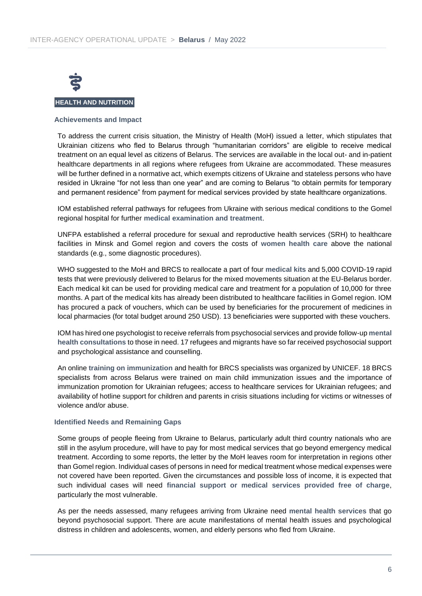

# **HEALTH AND NUTRITION**

### **Achievements and Impact**

To address the current crisis situation, the Ministry of Health (MoH) issued a letter, which stipulates that Ukrainian citizens who fled to Belarus through "humanitarian corridors" are eligible to receive medical treatment on an equal level as citizens of Belarus. The services are available in the local out- and in-patient healthcare departments in all regions where refugees from Ukraine are accommodated. These measures will be further defined in a normative act, which exempts citizens of Ukraine and stateless persons who have resided in Ukraine "for not less than one year" and are coming to Belarus "to obtain permits for temporary and permanent residence" from payment for medical services provided by state healthcare organizations.

IOM established referral pathways for refugees from Ukraine with serious medical conditions to the Gomel regional hospital for further **medical examination and treatment**.

UNFPA established a referral procedure for sexual and reproductive health services (SRH) to healthcare facilities in Minsk and Gomel region and covers the costs of **women health care** above the national standards (e.g., some diagnostic procedures).

WHO suggested to the MoH and BRCS to reallocate a part of four **medical kits** and 5,000 COVID-19 rapid tests that were previously delivered to Belarus for the mixed movements situation at the EU-Belarus border. Each medical kit can be used for providing medical care and treatment for a population of 10,000 for three months. A part of the medical kits has already been distributed to healthcare facilities in Gomel region. IOM has procured a pack of vouchers, which can be used by beneficiaries for the procurement of medicines in local pharmacies (for total budget around 250 USD). 13 beneficiaries were supported with these vouchers.

IOM has hired one psychologist to receive referrals from psychosocial services and provide follow-up **mental health consultations** to those in need. 17 refugees and migrants have so far received psychosocial support and psychological assistance and counselling.

An online **training on immunization** and health for BRCS specialists was organized by UNICEF. 18 BRCS specialists from across Belarus were trained on main child immunization issues and the importance of immunization promotion for Ukrainian refugees; access to healthcare services for Ukrainian refugees; and availability of hotline support for children and parents in crisis situations including for victims or witnesses of violence and/or abuse.

# **Identified Needs and Remaining Gaps**

Some groups of people fleeing from Ukraine to Belarus, particularly adult third country nationals who are still in the asylum procedure, will have to pay for most medical services that go beyond emergency medical treatment. According to some reports, the letter by the MoH leaves room for interpretation in regions other than Gomel region. Individual cases of persons in need for medical treatment whose medical expenses were not covered have been reported. Given the circumstances and possible loss of income, it is expected that such individual cases will need **financial support or medical services provided free of charge**, particularly the most vulnerable.

As per the needs assessed, many refugees arriving from Ukraine need **mental health services** that go beyond psychosocial support. There are acute manifestations of mental health issues and psychological distress in children and adolescents, women, and elderly persons who fled from Ukraine.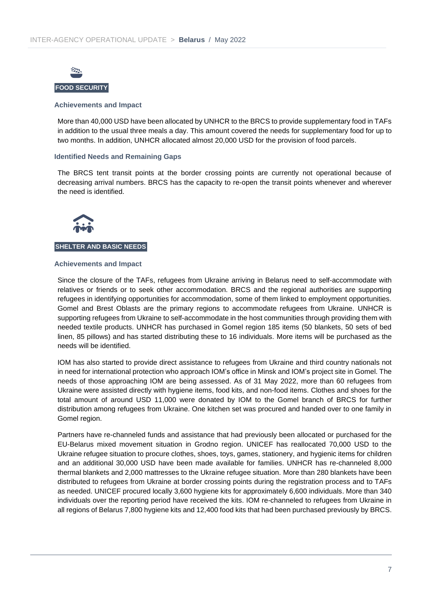

## **Achievements and Impact**

More than 40,000 USD have been allocated by UNHCR to the BRCS to provide supplementary food in TAFs in addition to the usual three meals a day. This amount covered the needs for supplementary food for up to two months. In addition, UNHCR allocated almost 20,000 USD for the provision of food parcels.

#### **Identified Needs and Remaining Gaps**

The BRCS tent transit points at the border crossing points are currently not operational because of decreasing arrival numbers. BRCS has the capacity to re-open the transit points whenever and wherever the need is identified.



### **SHELTER AND BASIC NEEDS**

#### **Achievements and Impact**

Since the closure of the TAFs, refugees from Ukraine arriving in Belarus need to self-accommodate with relatives or friends or to seek other accommodation. BRCS and the regional authorities are supporting refugees in identifying opportunities for accommodation, some of them linked to employment opportunities. Gomel and Brest Oblasts are the primary regions to accommodate refugees from Ukraine. UNHCR is supporting refugees from Ukraine to self-accommodate in the host communities through providing them with needed textile products. UNHCR has purchased in Gomel region 185 items (50 blankets, 50 sets of bed linen, 85 pillows) and has started distributing these to 16 individuals. More items will be purchased as the needs will be identified.

IOM has also started to provide direct assistance to refugees from Ukraine and third country nationals not in need for international protection who approach IOM's office in Minsk and IOM's project site in Gomel. The needs of those approaching IOM are being assessed. As of 31 May 2022, more than 60 refugees from Ukraine were assisted directly with hygiene items, food kits, and non-food items. Clothes and shoes for the total amount of around USD 11,000 were donated by IOM to the Gomel branch of BRCS for further distribution among refugees from Ukraine. One kitchen set was procured and handed over to one family in Gomel region.

Partners have re-channeled funds and assistance that had previously been allocated or purchased for the EU-Belarus mixed movement situation in Grodno region. UNICEF has reallocated 70,000 USD to the Ukraine refugee situation to procure clothes, shoes, toys, games, stationery, and hygienic items for children and an additional 30,000 USD have been made available for families. UNHCR has re-channeled 8,000 thermal blankets and 2,000 mattresses to the Ukraine refugee situation. More than 280 blankets have been distributed to refugees from Ukraine at border crossing points during the registration process and to TAFs as needed. UNICEF procured locally 3,600 hygiene kits for approximately 6,600 individuals. More than 340 individuals over the reporting period have received the kits. IOM re-channeled to refugees from Ukraine in all regions of Belarus 7,800 hygiene kits and 12,400 food kits that had been purchased previously by BRCS.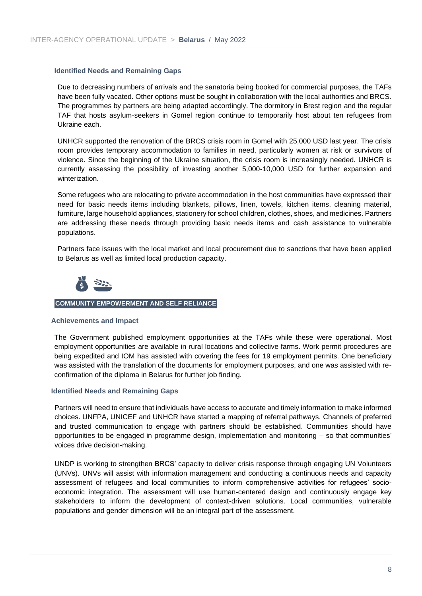# **Identified Needs and Remaining Gaps**

Due to decreasing numbers of arrivals and the sanatoria being booked for commercial purposes, the TAFs have been fully vacated. Other options must be sought in collaboration with the local authorities and BRCS. The programmes by partners are being adapted accordingly. The dormitory in Brest region and the regular TAF that hosts asylum-seekers in Gomel region continue to temporarily host about ten refugees from Ukraine each.

UNHCR supported the renovation of the BRCS crisis room in Gomel with 25,000 USD last year. The crisis room provides temporary accommodation to families in need, particularly women at risk or survivors of violence. Since the beginning of the Ukraine situation, the crisis room is increasingly needed. UNHCR is currently assessing the possibility of investing another 5,000-10,000 USD for further expansion and winterization.

Some refugees who are relocating to private accommodation in the host communities have expressed their need for basic needs items including blankets, pillows, linen, towels, kitchen items, cleaning material, furniture, large household appliances, stationery for school children, clothes, shoes, and medicines. Partners are addressing these needs through providing basic needs items and cash assistance to vulnerable populations.

Partners face issues with the local market and local procurement due to sanctions that have been applied to Belarus as well as limited local production capacity.



#### **COMMUNITY EMPOWERMENT AND SELF RELIANCE**

#### **Achievements and Impact**

The Government published employment opportunities at the TAFs while these were operational. Most employment opportunities are available in rural locations and collective farms. Work permit procedures are being expedited and IOM has assisted with covering the fees for 19 employment permits. One beneficiary was assisted with the translation of the documents for employment purposes, and one was assisted with reconfirmation of the diploma in Belarus for further job finding.

#### **Identified Needs and Remaining Gaps**

Partners will need to ensure that individuals have access to accurate and timely information to make informed choices. UNFPA, UNICEF and UNHCR have started a mapping of referral pathways. Channels of preferred and trusted communication to engage with partners should be established. Communities should have opportunities to be engaged in programme design, implementation and monitoring – so that communities' voices drive decision-making.

UNDP is working to strengthen BRCS' capacity to deliver crisis response through engaging UN Volunteers (UNVs). UNVs will assist with information management and conducting a continuous needs and capacity assessment of refugees and local communities to inform comprehensive activities for refugees' socioeconomic integration. The assessment will use human-centered design and continuously engage key stakeholders to inform the development of context-driven solutions. Local communities, vulnerable populations and gender dimension will be an integral part of the assessment.